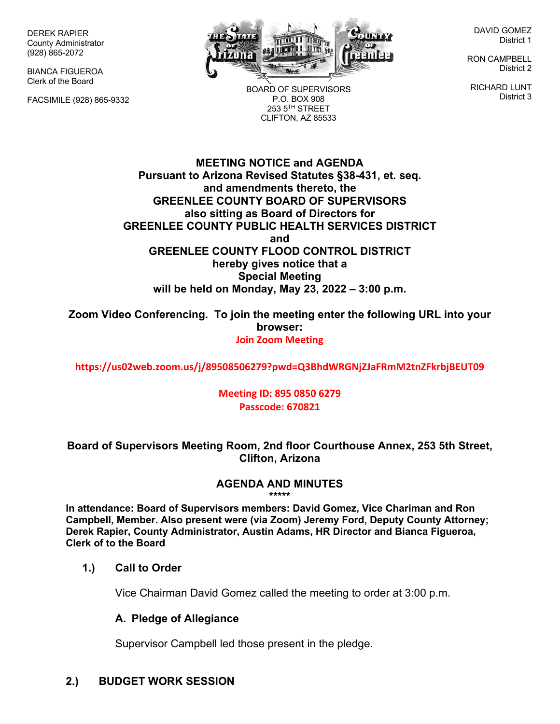DEREK RAPIER County Administrator (928) 865-2072

BIANCA FIGUEROA Clerk of the Board

FACSIMILE (928) 865-9332



BOARD OF SUPERVISORS P.O. BOX 908  $253.5$ <sup>TH</sup> STREET CLIFTON, AZ 85533

DAVID GOMEZ District 1

RON CAMPBELL District 2

RICHARD LUNT District 3

**MEETING NOTICE and AGENDA Pursuant to Arizona Revised Statutes §38-431, et. seq. and amendments thereto, the GREENLEE COUNTY BOARD OF SUPERVISORS also sitting as Board of Directors for GREENLEE COUNTY PUBLIC HEALTH SERVICES DISTRICT and GREENLEE COUNTY FLOOD CONTROL DISTRICT hereby gives notice that a Special Meeting will be held on Monday, May 23, 2022 – 3:00 p.m.**

**Zoom Video Conferencing. To join the meeting enter the following URL into your browser: Join Zoom Meeting**

**https://us02web.zoom.us/j/89508506279?pwd=Q3BhdWRGNjZJaFRmM2tnZFkrbjBEUT09**

#### **Meeting ID: 895 0850 6279 Passcode: 670821**

#### **Board of Supervisors Meeting Room, 2nd floor Courthouse Annex, 253 5th Street, Clifton, Arizona**

## **AGENDA AND MINUTES**

**\*\*\*\*\***

**In attendance: Board of Supervisors members: David Gomez, Vice Chariman and Ron Campbell, Member. Also present were (via Zoom) Jeremy Ford, Deputy County Attorney; Derek Rapier, County Administrator, Austin Adams, HR Director and Bianca Figueroa, Clerk of to the Board**

#### **1.) Call to Order**

Vice Chairman David Gomez called the meeting to order at 3:00 p.m.

#### **A. Pledge of Allegiance**

Supervisor Campbell led those present in the pledge.

## **2.) BUDGET WORK SESSION**